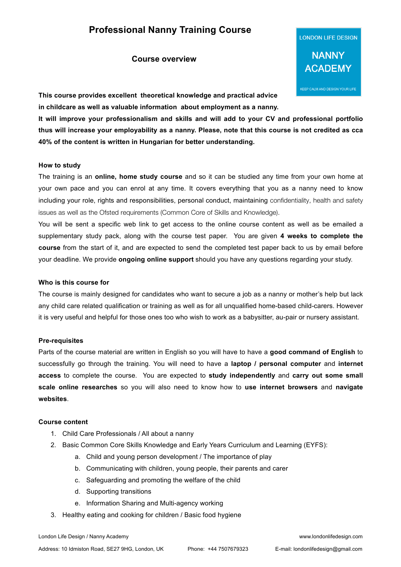# **Professional Nanny Training Course**

# **Course overview**



**This course provides excellent theoretical knowledge and practical advice in childcare as well as valuable information about employment as a nanny.**

**It will improve your professionalism and skills and will add to your CV and professional portfolio thus will increase your employability as a nanny. Please, note that this course is not credited as cca 40% of the content is written in Hungarian for better understanding.** 

### **How to study**

The training is an **online, home study course** and so it can be studied any time from your own home at your own pace and you can enrol at any time. It covers everything that you as a nanny need to know including your role, rights and responsibilities, personal conduct, maintaining confidentiality, health and safety issues as well as the Ofsted requirements (Common Core of Skills and Knowledge).

You will be sent a specific web link to get access to the online course content as well as be emailed a supplementary study pack, along with the course test paper. You are given **4 weeks to complete the course** from the start of it, and are expected to send the completed test paper back to us by email before your deadline. We provide **ongoing online support** should you have any questions regarding your study.

#### **Who is this course for**

The course is mainly designed for candidates who want to secure a job as a nanny or mother's help but lack any child care related qualification or training as well as for all unqualified home-based child-carers. However it is very useful and helpful for those ones too who wish to work as a babysitter, au-pair or nursery assistant.

### **Pre-requisites**

Parts of the course material are written in English so you will have to have a **good command of English** to successfully go through the training. You will need to have a **laptop / personal computer** and **internet access** to complete the course. You are expected to **study independently** and **carry out some small scale online researches** so you will also need to know how to **use internet browsers** and **navigate websites**.

### **Course content**

- 1. Child Care Professionals / All about a nanny
- 2. Basic Common Core Skills Knowledge and Early Years Curriculum and Learning (EYFS):
	- a. Child and young person development / The importance of play
	- b. Communicating with children, young people, their parents and carer
	- c. Safeguarding and promoting the welfare of the child
	- d. Supporting transitions
	- e. Information Sharing and Multi-agency working
- 3. Healthy eating and cooking for children / Basic food hygiene

Address: 10 Idmiston Road, SE27 9HG, London, UK Phone: +44 7507679323 E-mail: londonlifedesign@gmail.com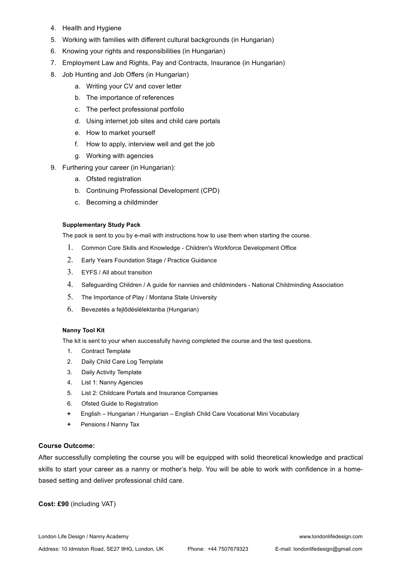- 4. Health and Hygiene
- 5. Working with families with different cultural backgrounds (in Hungarian)
- 6. Knowing your rights and responsibilities (in Hungarian)
- 7. Employment Law and Rights, Pay and Contracts, Insurance (in Hungarian)
- 8. Job Hunting and Job Offers (in Hungarian)
	- a. Writing your CV and cover letter
	- b. The importance of references
	- c. The perfect professional portfolio
	- d. Using internet job sites and child care portals
	- e. How to market yourself
	- f. How to apply, interview well and get the job
	- g. Working with agencies
- 9. Furthering your career (in Hungarian):
	- a. Ofsted registration
	- b. Continuing Professional Development (CPD)
	- c. Becoming a childminder

### **Supplementary Study Pack**

The pack is sent to you by e-mail with instructions how to use them when starting the course.

- 1. Common Core Skills and Knowledge Children's Workforce Development Office
- 2. Early Years Foundation Stage / Practice Guidance
- 3. EYFS / All about transition
- 4. Safeguarding Children / A guide for nannies and childminders National Childminding Association
- 5. The Importance of Play / Montana State University
- 6. Bevezetés a fejlődéslélektanba (Hungarian)

### **Nanny Tool Kit**

The kit is sent to your when successfully having completed the course and the test questions.

- 1. Contract Template
- 2. Daily Child Care Log Template
- 3. Daily Activity Template
- 4. List 1: Nanny Agencies
- 5. List 2: Childcare Portals and Insurance Companies
- 6. Ofsted Guide to Registration
- **+** English Hungarian / Hungarian English Child Care Vocational Mini Vocabulary
- **+** Pensions **/** Nanny Tax

### **Course Outcome:**

After successfully completing the course you will be equipped with solid theoretical knowledge and practical skills to start your career as a nanny or mother's help. You will be able to work with confidence in a homebased setting and deliver professional child care.

**Cost: £90** (including VAT)

London Life Design / Nanny Academy www.londonlifedesign.com